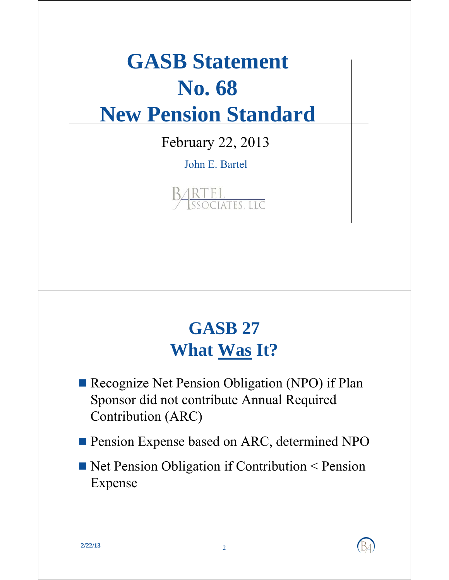# **GASB** Statement **No. 68 New Pension Standard**

February 22, 2013

John E. Bartel



## **GASB 27 What Was It?**

Recognize Net Pension Obligation (NPO) if Plan Sponsor did not contribute Annual Required Contribution (ARC)

**Pension Expense based on ARC, determined NPO** 

Net Pension Obligation if Contribution < Pension Expense

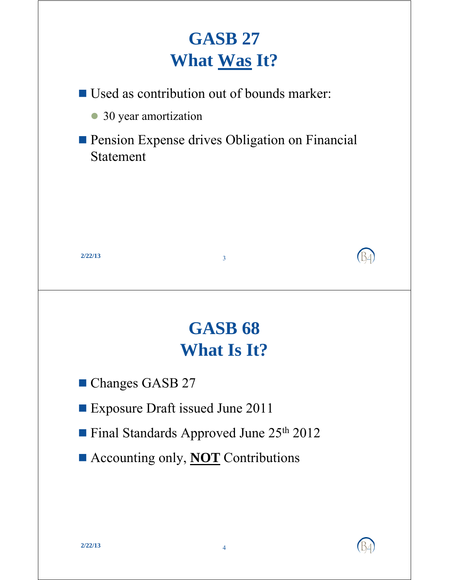# **GASB 27 What Was It?**

 $\blacksquare$  Used as contribution out of bounds marker:

- 30 year amortization
- **Pension Expense drives Obligation on Financial** Statement



# **GASB 68 What Is It?**

- **Changes GASB 27**
- Exposure Draft issued June 2011
- **Final Standards Approved June 25th 2012**
- Accounting only, **NOT** Contributions

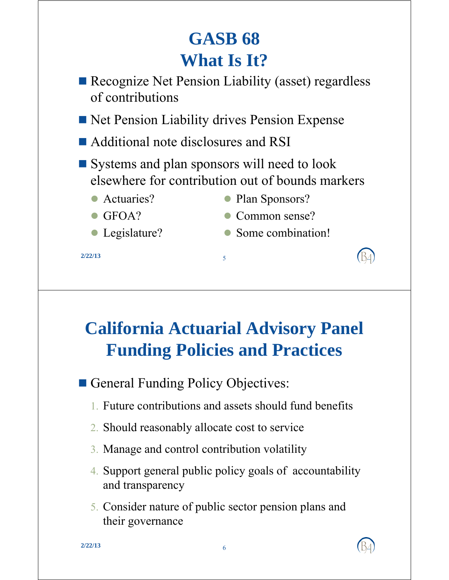# **GASB 68 What Is It?**

- Recognize Net Pension Liability (asset) regardless of contributions
- Net Pension Liability drives Pension Expense
- Additional note disclosures and RSI
- $\blacksquare$  Systems and plan sponsors will need to look elsewhere for contribution out of bounds markers
	-
	- Actuaries? Plan Sponsors?
	- $\bullet$  GFOA?
	- Legislature?

5 **2/22/13**

- Common sense?
- Some combination! Some

# **California Actuarial Advisory Panel Funding Policies and Practices**

- General Funding Policy Objectives:
	- 1. Future contributions and assets should fund benefits
	- 2. Should reasonably allocate cost to service
	- 3. Manage and control contribution volatility
	- 4. Support general public policy goals of accountability and transparency
	- 5. Consider nature of public sector pension plans and their governance their

6 **2/22/13**

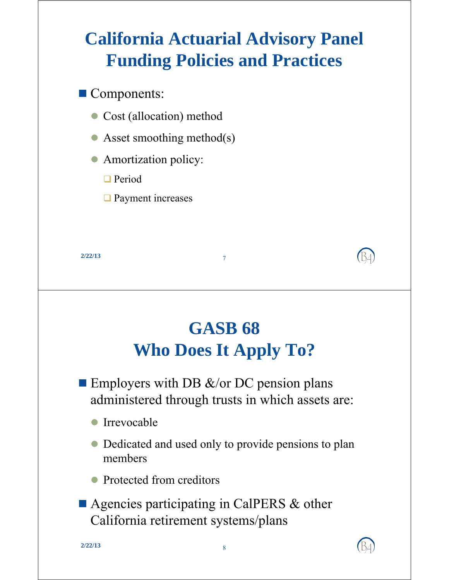# **California Actuarial Advisory Panel Funding Policies and Practices**

Components:

**Period** 

• Cost (allocation) method

Amortization policy: Amortization

 $\Box$  Payment increases

• Asset smoothing method(s)

7 **2/22/13 GASB 68 Who Does It Apply To? Employers with DB &/or DC pension plans** administered through trusts in which assets are: **Irrevocable**  Dedicated and used only to provide pensions to plan members • Protected from creditors ■ Agencies participating in CalPERS & other California retirement systems/plans California retirement

8 **2/22/13**

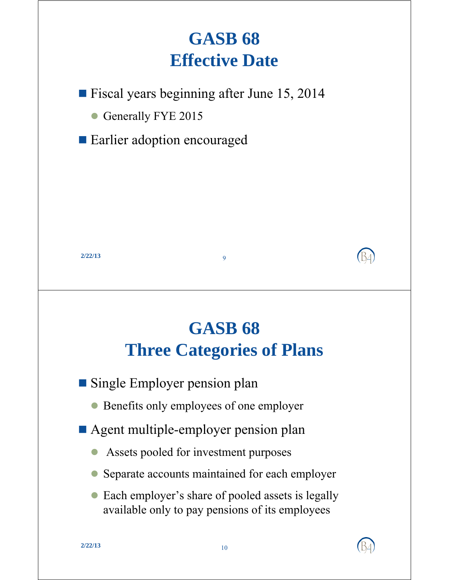# **GASB 68 Effective Date**

**Fiscal years beginning after June 15, 2014** 

Generally FYE 2015

Earlier adoption encouraged

9 **2/22/13**

#### **GASB 68 Three Categories of Plans**

 $\blacksquare$  Single Employer pension plan

Benefits only employees of one employer

Agent multiple-employer pension plan

- $\bullet$  Assets pooled for investment purposes
- Separate accounts maintained for each employer
- Each employer's share of pooled assets is legally available only to pay pensions of its employees

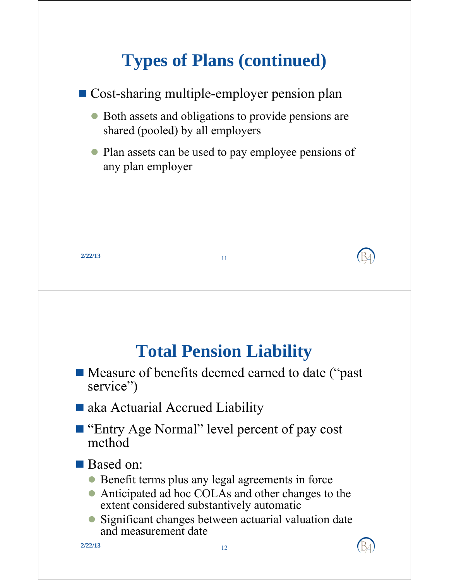# **Types of Plans (continued)**



12 **2/22/13**

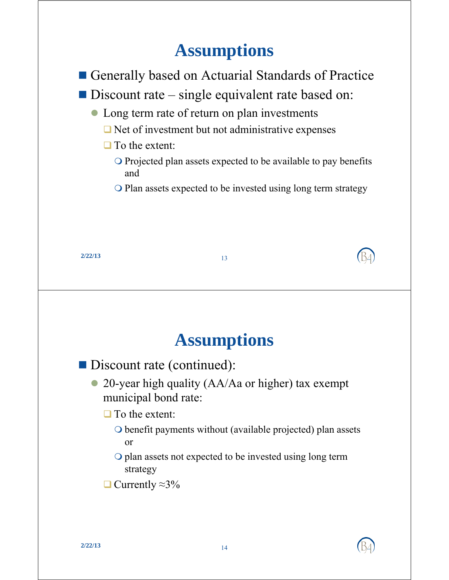#### **Assumptions**



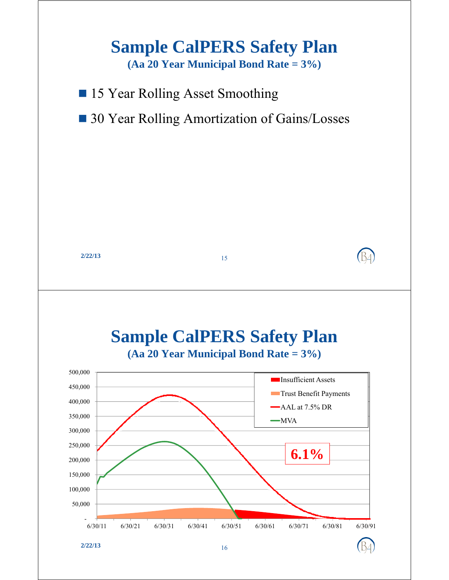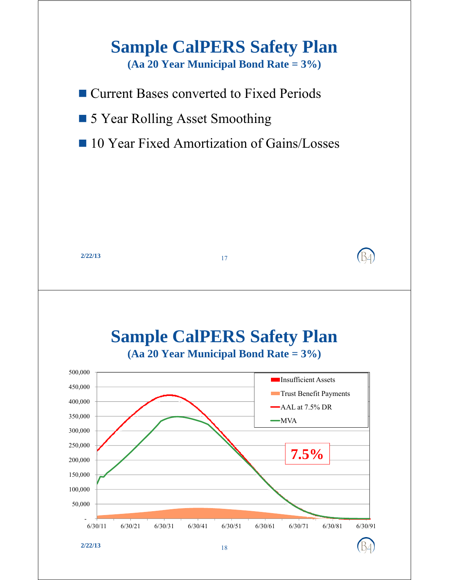

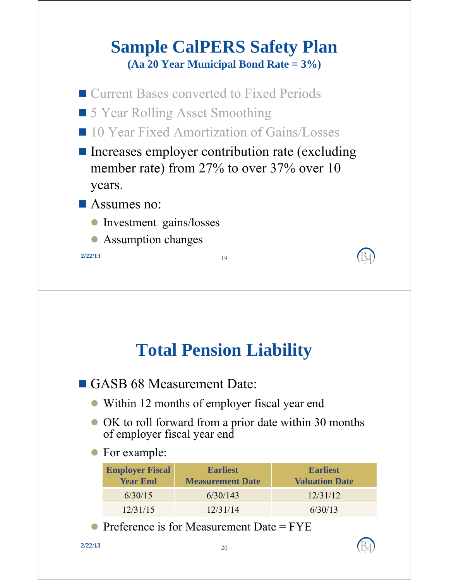#### **Sample CalPERS Safety Plan (Aa 20 Year Municipal Bond Rate = 3%)**



#### **Total Pension Liability**

 $\blacksquare$  GASB 68 Measurement Date:

- Within 12 months of employer fiscal year end
- OK to roll forward from a prior date within 30 months of employer fiscal year end
- For example:

| <b>Employer Fiscal</b><br><b>Year End</b> | <b>Earliest</b><br><b>Measurement Date</b> | <b>Earliest</b><br><b>Valuation Date</b> |
|-------------------------------------------|--------------------------------------------|------------------------------------------|
| 6/30/15                                   | 6/30/143                                   | 12/31/12                                 |
| 12/31/15                                  | 12/31/14                                   | 6/30/13                                  |

• Preference is for Measurement Date =  $FYE$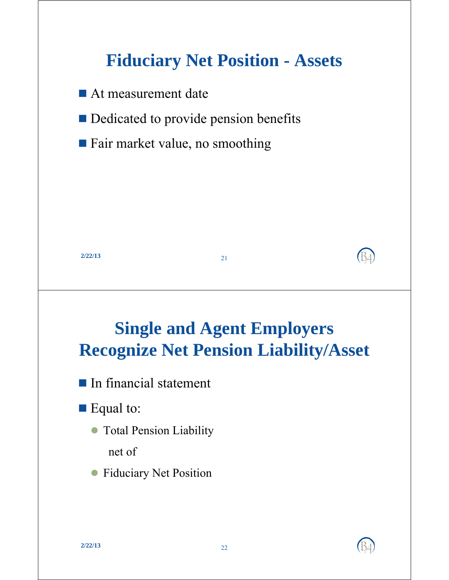

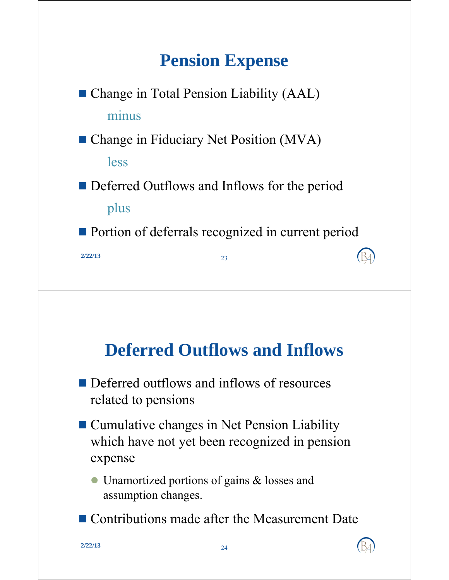## **Pension Expense**

 $\blacksquare$  Change in Total Pension Liability (AAL) minus

■ Change in Fiduciary Net Position (MVA)

less

**Deferred Outflows and Inflows for the period** plus

■ Portion of deferrals recognized in current period

**2/22/13** 23

#### **Deferred Outflows and Inflows**

- $\blacksquare$  Deferred outflows and inflows of resources related to pensions
- Cumulative changes in Net Pension Liability which have not yet been recognized in pension expense

 Unamortized portions of gains & losses and assumption changes.

■ Contributions made after the Measurement Date

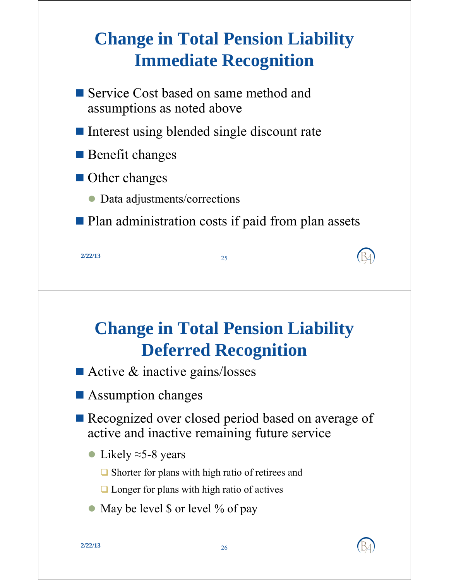# **Change in Total Pension Liability Immediate Recognition**

- Service Cost based on same method and assumptions as noted above
- $\blacksquare$  Interest using blended single discount rate
- **Benefit changes**
- **Other changes** 
	- $\bullet$  Data adjustments/corrections
- **Plan administration costs if paid from plan assets**

### **Change in Total Pension Liability Deferred Recognition**

- $\blacksquare$  Active & inactive gains/losses
- Assumption changes
- Recognized over closed period based on average of active and inactive remaining future service
	- Likely  $\approx$  5-8 years
		- $\Box$  Shorter for plans with high ratio of retirees and
		- $\Box$  Longer for plans with high ratio of actives
	- May be level  $\frac{1}{2}$  or level % of pay

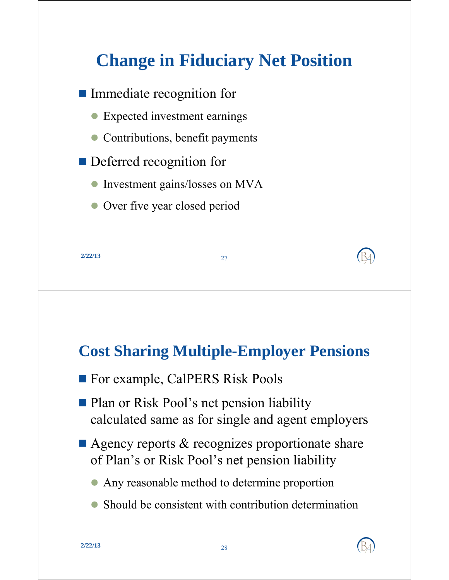# **Change in Fiduciary Net Position**



#### **Cost Sharing Multiple-Employer Pensions**

- **For example, CalPERS Risk Pools**
- **Plan or Risk Pool's net pension liability** cal culated same as for single and agent employers
- $\blacksquare$  Agency reports & recognizes proportionate share of Plan's or Risk Pool's net pension liability

 $\bullet$  Any reasonable method to determine proportion

• Should be consistent with contribution determination

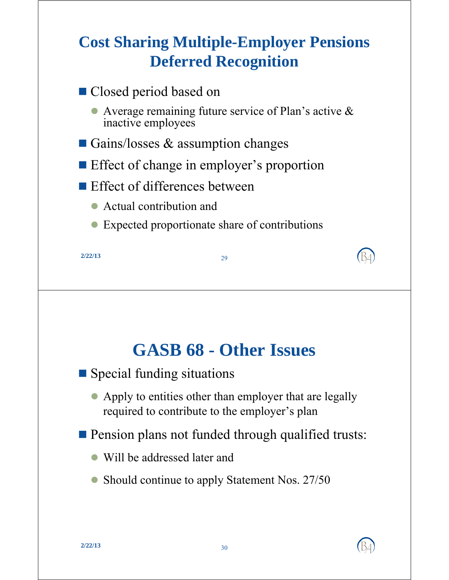#### **Cost Sharing Multiple-Employer Pensions Deferred Recognition**

| ■ Closed period based on                                                       |  |  |  |
|--------------------------------------------------------------------------------|--|--|--|
| • Average remaining future service of Plan's active $\&$<br>inactive employees |  |  |  |
| Gains/losses $\&$ assumption changes                                           |  |  |  |
| <b>Example Effect of change in employer's proportion</b>                       |  |  |  |
| $\blacksquare$ Effect of differences between                                   |  |  |  |
| Actual contribution and                                                        |  |  |  |
| Expected proportionate share of contributions                                  |  |  |  |
| 2/22/13<br>29                                                                  |  |  |  |

#### **GASB 68 GASB 68 - Oth I erssues**

- Special funding situations
	- Apply to entities other than employer that are legally required to contribute to the employer's plan
- **Pension plans not funded through qualified trusts:** 
	- Will be addressed later and
	- Should continue to apply Statement Nos. 27/50